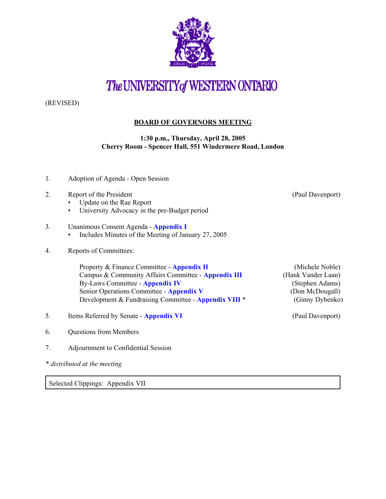

## The UNIVERSITY of WESTERN ONTARIO

(REVISED)

## **BOARD OF GOVERNORS MEETING**

**1:30 p.m., Thursday, April 28, 2005 Cherry Room - Spencer Hall, 551 Windermere Road, London**

- 1. Adoption of Agenda Open Session
- 2. Report of the President (Paul Davenport)
	- Update on the Rae Report
	- University Advocacy in the pre-Budget period
- 3. Unanimous Consent Agenda **[Appendix I](http://www.uwo.ca/univsec/board/minutes/2005/r0504consent.pdf)** 
	- Includes Minutes of the Meeting of January 27, 2005
- 4. Reports of Committees:

Property & Finance Committee - **[Appendix II](http://www.uwo.ca/univsec/board/minutes/2005/r0504pf.pdf)** (Michele Noble) Campus & Community Affairs Committee - **[Appendix III](http://www.uwo.ca/univsec/board/minutes/2005/r0504ccac.pdf)** (Hank Vander Laan) By-Laws Committee - **[Appendix IV](http://www.uwo.ca/univsec/board/minutes/2005/r0504byl.pdf)** (Stephen Adams) Senior Operations Committee - **[Appendix V](http://www.uwo.ca/univsec/board/minutes/2005/r0504srops.pdf)** (Don McDougall) Development & Fundraising Committee - **[Appendix VI](http://www.uwo.ca/univsec/board/minutes/2005/r0504dfr.pdf)II** \* (Ginny Dybenko)

- 5. Items Referred by Senate **[Appendix VI](http://www.uwo.ca/univsec/board/minutes/2005/r0504sen.pdf)** (Paul Davenport)
- 6. Questions from Members
- 7. Adjournment to Confidential Session
- *\* distributed at the meeting*

Selected Clippings: Appendix VII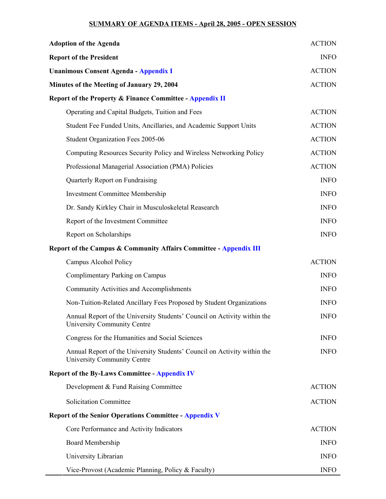## **SUMMARY OF AGENDA ITEMS - April 28, 2005 - OPEN SESSION**

| <b>Adoption of the Agenda</b>                                                                                  | <b>ACTION</b> |
|----------------------------------------------------------------------------------------------------------------|---------------|
| <b>Report of the President</b>                                                                                 | <b>INFO</b>   |
| <b>Unanimous Consent Agenda - Appendix I</b>                                                                   | <b>ACTION</b> |
| Minutes of the Meeting of January 29, 2004                                                                     | <b>ACTION</b> |
| <b>Report of the Property &amp; Finance Committee - Appendix II</b>                                            |               |
| Operating and Capital Budgets, Tuition and Fees                                                                | <b>ACTION</b> |
| Student Fee Funded Units, Ancillaries, and Academic Support Units                                              | <b>ACTION</b> |
| Student Organization Fees 2005-06                                                                              | <b>ACTION</b> |
| Computing Resources Security Policy and Wireless Networking Policy                                             | <b>ACTION</b> |
| Professional Managerial Association (PMA) Policies                                                             | <b>ACTION</b> |
| Quarterly Report on Fundraising                                                                                | <b>INFO</b>   |
| <b>Investment Committee Membership</b>                                                                         | <b>INFO</b>   |
| Dr. Sandy Kirkley Chair in Musculoskeletal Reasearch                                                           | <b>INFO</b>   |
| Report of the Investment Committee                                                                             | <b>INFO</b>   |
| Report on Scholarships                                                                                         | <b>INFO</b>   |
| Report of the Campus & Community Affairs Committee - Appendix III                                              |               |
| Campus Alcohol Policy                                                                                          | <b>ACTION</b> |
| Complimentary Parking on Campus                                                                                | <b>INFO</b>   |
| <b>Community Activities and Accomplishments</b>                                                                | <b>INFO</b>   |
| Non-Tuition-Related Ancillary Fees Proposed by Student Organizations                                           | <b>INFO</b>   |
| Annual Report of the University Students' Council on Activity within the<br><b>University Community Centre</b> | <b>INFO</b>   |
| Congress for the Humanities and Social Sciences                                                                | <b>INFO</b>   |
| Annual Report of the University Students' Council on Activity within the<br>University Community Centre        | <b>INFO</b>   |
| <b>Report of the By-Laws Committee - Appendix IV</b>                                                           |               |
| Development & Fund Raising Committee                                                                           | <b>ACTION</b> |
| <b>Solicitation Committee</b>                                                                                  | <b>ACTION</b> |
| <b>Report of the Senior Operations Committee - Appendix V</b>                                                  |               |
| Core Performance and Activity Indicators                                                                       | <b>ACTION</b> |
| <b>Board Membership</b>                                                                                        | <b>INFO</b>   |
| University Librarian                                                                                           | <b>INFO</b>   |
| Vice-Provost (Academic Planning, Policy & Faculty)                                                             | <b>INFO</b>   |